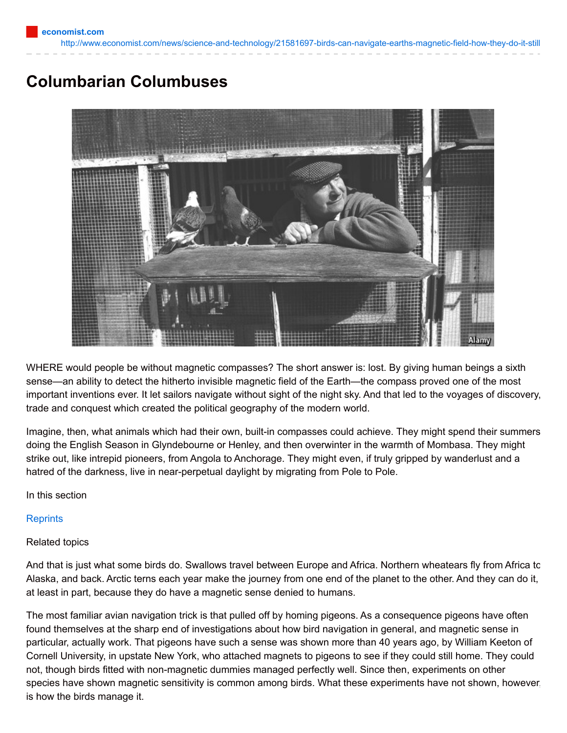## **Columbarian Columbuses**



WHERE would people be without magnetic compasses? The short answer is: lost. By giving human beings a sixth sense—an ability to detect the hitherto invisible magnetic field of the Earth—the compass proved one of the most important inventions ever. It let sailors navigate without sight of the night sky. And that led to the voyages of discovery, trade and conquest which created the political geography of the modern world.

Imagine, then, what animals which had their own, built-in compasses could achieve. They might spend their summers doing the English Season in Glyndebourne or Henley, and then overwinter in the warmth of Mombasa. They might strike out, like intrepid pioneers, from Angola to Anchorage. They might even, if truly gripped by wanderlust and a hatred of the darkness, live in near-perpetual daylight by migrating from Pole to Pole.

In this section

## **[Reprints](http://www.economist.com/rights)**

## Related topics

And that is just what some birds do. Swallows travel between Europe and Africa. Northern wheatears fly from Africa to Alaska, and back. Arctic terns each year make the journey from one end of the planet to the other. And they can do it, at least in part, because they do have a magnetic sense denied to humans.

The most familiar avian navigation trick is that pulled off by homing pigeons. As a consequence pigeons have often found themselves at the sharp end of investigations about how bird navigation in general, and magnetic sense in particular, actually work. That pigeons have such a sense was shown more than 40 years ago, by William Keeton of Cornell University, in upstate New York, who attached magnets to pigeons to see if they could still home. They could not, though birds fitted with non-magnetic dummies managed perfectly well. Since then, experiments on other species have shown magnetic sensitivity is common among birds. What these experiments have not shown, however, is how the birds manage it.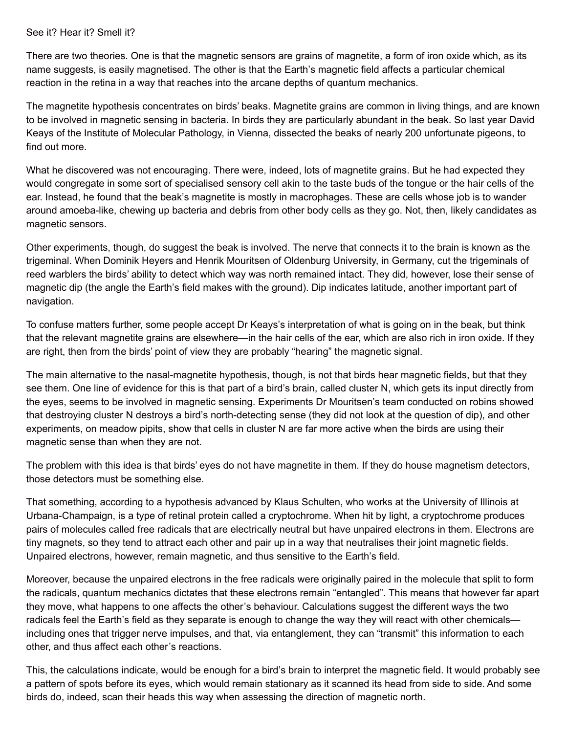## See it? Hear it? Smell it?

There are two theories. One is that the magnetic sensors are grains of magnetite, a form of iron oxide which, as its name suggests, is easily magnetised. The other is that the Earth's magnetic field affects a particular chemical reaction in the retina in a way that reaches into the arcane depths of quantum mechanics.

The magnetite hypothesis concentrates on birds' beaks. Magnetite grains are common in living things, and are known to be involved in magnetic sensing in bacteria. In birds they are particularly abundant in the beak. So last year David Keays of the Institute of Molecular Pathology, in Vienna, dissected the beaks of nearly 200 unfortunate pigeons, to find out more.

What he discovered was not encouraging. There were, indeed, lots of magnetite grains. But he had expected they would congregate in some sort of specialised sensory cell akin to the taste buds of the tongue or the hair cells of the ear. Instead, he found that the beak's magnetite is mostly in macrophages. These are cells whose job is to wander around amoeba-like, chewing up bacteria and debris from other body cells as they go. Not, then, likely candidates as magnetic sensors.

Other experiments, though, do suggest the beak is involved. The nerve that connects it to the brain is known as the trigeminal. When Dominik Heyers and Henrik Mouritsen of Oldenburg University, in Germany, cut the trigeminals of reed warblers the birds' ability to detect which way was north remained intact. They did, however, lose their sense of magnetic dip (the angle the Earth's field makes with the ground). Dip indicates latitude, another important part of navigation.

To confuse matters further, some people accept Dr Keays's interpretation of what is going on in the beak, but think that the relevant magnetite grains are elsewhere—in the hair cells of the ear, which are also rich in iron oxide. If they are right, then from the birds' point of view they are probably "hearing" the magnetic signal.

The main alternative to the nasal-magnetite hypothesis, though, is not that birds hear magnetic fields, but that they see them. One line of evidence for this is that part of a bird's brain, called cluster N, which gets its input directly from the eyes, seems to be involved in magnetic sensing. Experiments Dr Mouritsen's team conducted on robins showed that destroying cluster N destroys a bird's north-detecting sense (they did not look at the question of dip), and other experiments, on meadow pipits, show that cells in cluster N are far more active when the birds are using their magnetic sense than when they are not.

The problem with this idea is that birds' eyes do not have magnetite in them. If they do house magnetism detectors, those detectors must be something else.

That something, according to a hypothesis advanced by Klaus Schulten, who works at the University of Illinois at Urbana-Champaign, is a type of retinal protein called a cryptochrome. When hit by light, a cryptochrome produces pairs of molecules called free radicals that are electrically neutral but have unpaired electrons in them. Electrons are tiny magnets, so they tend to attract each other and pair up in a way that neutralises their joint magnetic fields. Unpaired electrons, however, remain magnetic, and thus sensitive to the Earth's field.

Moreover, because the unpaired electrons in the free radicals were originally paired in the molecule that split to form the radicals, quantum mechanics dictates that these electrons remain "entangled". This means that however far apart they move, what happens to one affects the other's behaviour. Calculations suggest the different ways the two radicals feel the Earth's field as they separate is enough to change the way they will react with other chemicals including ones that trigger nerve impulses, and that, via entanglement, they can "transmit" this information to each other, and thus affect each other's reactions.

This, the calculations indicate, would be enough for a bird's brain to interpret the magnetic field. It would probably see a pattern of spots before its eyes, which would remain stationary as it scanned its head from side to side. And some birds do, indeed, scan their heads this way when assessing the direction of magnetic north.